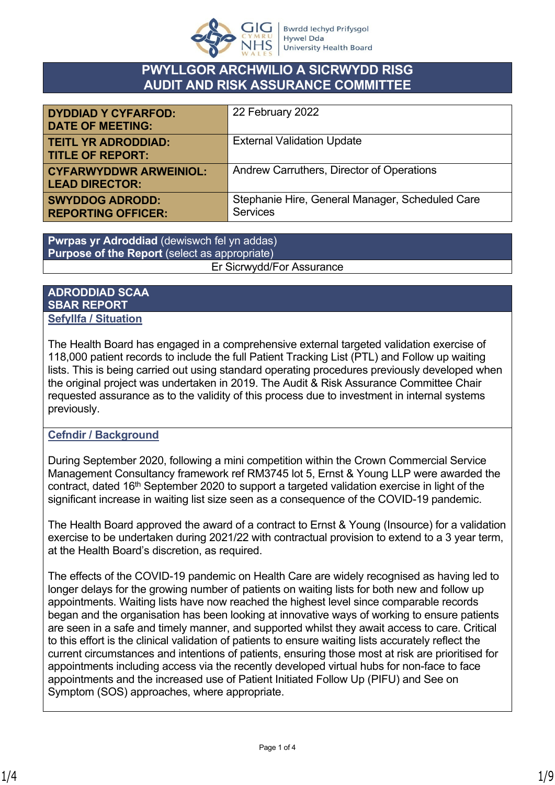

## **PWYLLGOR ARCHWILIO A SICRWYDD RISG AUDIT AND RISK ASSURANCE COMMITTEE**

| <b>DYDDIAD Y CYFARFOD:</b><br><b>DATE OF MEETING:</b>  | 22 February 2022                                                   |
|--------------------------------------------------------|--------------------------------------------------------------------|
| <b>TEITL YR ADRODDIAD:</b><br><b>TITLE OF REPORT:</b>  | <b>External Validation Update</b>                                  |
| <b>CYFARWYDDWR ARWEINIOL:</b><br><b>LEAD DIRECTOR:</b> | Andrew Carruthers, Director of Operations                          |
| <b>SWYDDOG ADRODD:</b><br><b>REPORTING OFFICER:</b>    | Stephanie Hire, General Manager, Scheduled Care<br><b>Services</b> |

**Pwrpas yr Adroddiad** (dewiswch fel yn addas) **Purpose of the Report** (select as appropriate) Er Sicrwydd/For Assurance

## **ADRODDIAD SCAA SBAR REPORT Sefyllfa / Situation**

The Health Board has engaged in a comprehensive external targeted validation exercise of 118,000 patient records to include the full Patient Tracking List (PTL) and Follow up waiting lists. This is being carried out using standard operating procedures previously developed when the original project was undertaken in 2019. The Audit & Risk Assurance Committee Chair requested assurance as to the validity of this process due to investment in internal systems previously.

## **Cefndir / Background**

During September 2020, following a mini competition within the Crown Commercial Service Management Consultancy framework ref RM3745 lot 5, Ernst & Young LLP were awarded the contract, dated 16th September 2020 to support a targeted validation exercise in light of the significant increase in waiting list size seen as a consequence of the COVID-19 pandemic.

The Health Board approved the award of a contract to Ernst & Young (Insource) for a validation exercise to be undertaken during 2021/22 with contractual provision to extend to a 3 year term, at the Health Board's discretion, as required.

The effects of the COVID-19 pandemic on Health Care are widely recognised as having led to longer delays for the growing number of patients on waiting lists for both new and follow up appointments. Waiting lists have now reached the highest level since comparable records began and the organisation has been looking at innovative ways of working to ensure patients are seen in a safe and timely manner, and supported whilst they await access to care. Critical to this effort is the clinical validation of patients to ensure waiting lists accurately reflect the current circumstances and intentions of patients, ensuring those most at risk are prioritised for appointments including access via the recently developed virtual hubs for non-face to face appointments and the increased use of Patient Initiated Follow Up (PIFU) and See on Symptom (SOS) approaches, where appropriate.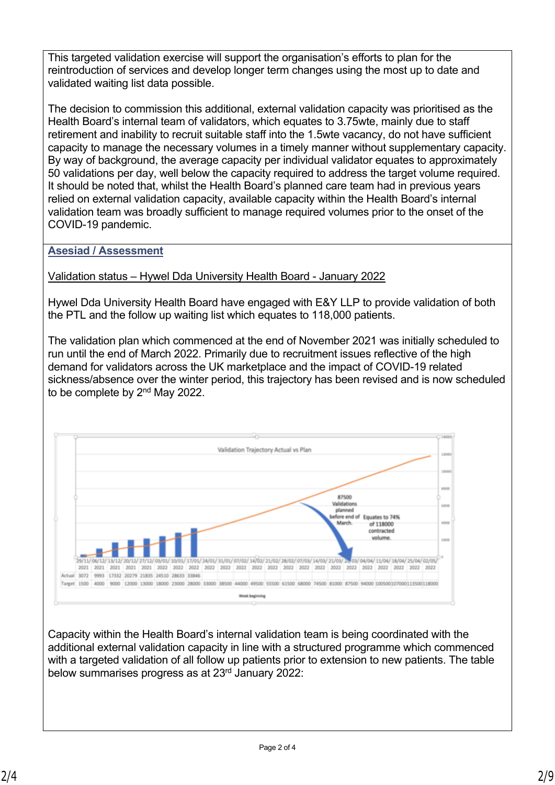This targeted validation exercise will support the organisation's efforts to plan for the reintroduction of services and develop longer term changes using the most up to date and validated waiting list data possible.

The decision to commission this additional, external validation capacity was prioritised as the Health Board's internal team of validators, which equates to 3.75wte, mainly due to staff retirement and inability to recruit suitable staff into the 1.5wte vacancy, do not have sufficient capacity to manage the necessary volumes in a timely manner without supplementary capacity. By way of background, the average capacity per individual validator equates to approximately 50 validations per day, well below the capacity required to address the target volume required. It should be noted that, whilst the Health Board's planned care team had in previous years relied on external validation capacity, available capacity within the Health Board's internal validation team was broadly sufficient to manage required volumes prior to the onset of the COVID-19 pandemic.

**Asesiad / Assessment**

Validation status – Hywel Dda University Health Board - January 2022

Hywel Dda University Health Board have engaged with E&Y LLP to provide validation of both the PTL and the follow up waiting list which equates to 118,000 patients.

The validation plan which commenced at the end of November 2021 was initially scheduled to run until the end of March 2022. Primarily due to recruitment issues reflective of the high demand for validators across the UK marketplace and the impact of COVID-19 related sickness/absence over the winter period, this trajectory has been revised and is now scheduled to be complete by 2nd May 2022.



Capacity within the Health Board's internal validation team is being coordinated with the additional external validation capacity in line with a structured programme which commenced with a targeted validation of all follow up patients prior to extension to new patients. The table below summarises progress as at 23rd January 2022: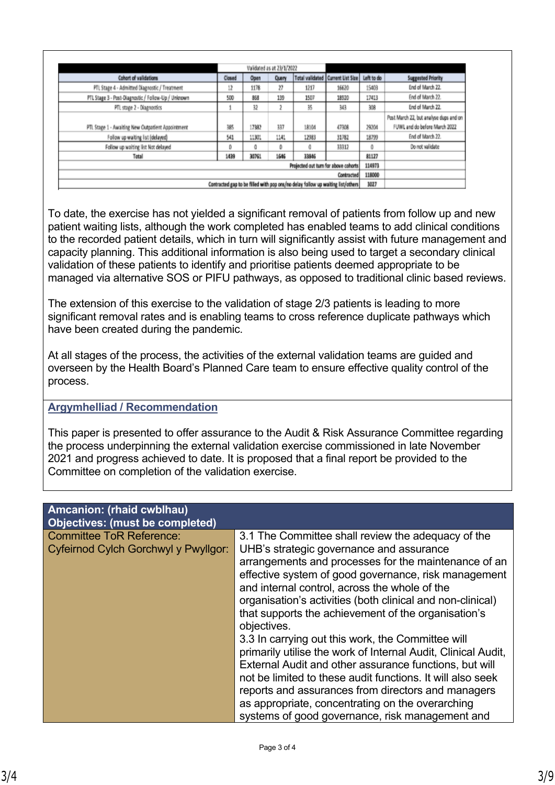|                                                                                 |                                      | Validated as at 23/1/2022 |              |                 |                   |            |                                        |
|---------------------------------------------------------------------------------|--------------------------------------|---------------------------|--------------|-----------------|-------------------|------------|----------------------------------------|
| <b>Cohort of validations</b>                                                    | Closed                               | Open                      | <b>Query</b> | Total validated | Current List Size | Left to do | <b>Suggested Priority</b>              |
| PTL Stage 4 - Admitted Diagnostic / Treatment                                   | 12                                   | 1178                      | 27           | 1217            | 16620             | 15403      | End of March 22.                       |
| PTL Stage 3 - Post-Diagnostic / Follow-Up / Unknown                             | 500                                  | 868                       | 139          | 1507            | 18920             | 17413      | End of March 22.                       |
| PTL stage 2 - Diagnostics                                                       |                                      | 32                        |              | 35              | 343               | 308        | End of March 22.                       |
|                                                                                 |                                      |                           |              |                 |                   |            | Post March 22, but analyse dups and on |
| PTL Stage 1 - Awaiting New Outpatient Appointment                               | 385                                  | 17382                     | 337          | 18104           | 47308             | 29204      | FUWL and do before March 2022          |
| Follow up waiting list (delayed)                                                | 541                                  | 11301                     | 1141         | 12983           | 31782             | 18799      | End of March 22.                       |
| Follow up waiting list Not delayed                                              | 0                                    | 0                         | 0            | a               | 33312             | 0          | Do not validate                        |
| Total                                                                           | 1439                                 | 30761                     | 1646         | 33846           |                   | 81127      |                                        |
|                                                                                 | Projected out turn for above cohorts |                           |              |                 |                   |            |                                        |
| Contracted                                                                      |                                      |                           |              |                 |                   | 118000     |                                        |
| Contracted gap to be filled with pop ons/no delay follow up waiting list/others |                                      |                           |              |                 |                   |            |                                        |

To date, the exercise has not yielded a significant removal of patients from follow up and new patient waiting lists, although the work completed has enabled teams to add clinical conditions to the recorded patient details, which in turn will significantly assist with future management and capacity planning. This additional information is also being used to target a secondary clinical validation of these patients to identify and prioritise patients deemed appropriate to be managed via alternative SOS or PIFU pathways, as opposed to traditional clinic based reviews.

The extension of this exercise to the validation of stage 2/3 patients is leading to more significant removal rates and is enabling teams to cross reference duplicate pathways which have been created during the pandemic.

At all stages of the process, the activities of the external validation teams are guided and overseen by the Health Board's Planned Care team to ensure effective quality control of the process.

## **Argymhelliad / Recommendation**

This paper is presented to offer assurance to the Audit & Risk Assurance Committee regarding the process underpinning the external validation exercise commissioned in late November 2021 and progress achieved to date. It is proposed that a final report be provided to the Committee on completion of the validation exercise.

| Amcanion: (rhaid cwblhau)<br><b>Objectives: (must be completed)</b>     |                                                                                                                                                                                                                                                                                                                                                                                                                                                                                                                                                                                                                                                                                                                                                                                                                |
|-------------------------------------------------------------------------|----------------------------------------------------------------------------------------------------------------------------------------------------------------------------------------------------------------------------------------------------------------------------------------------------------------------------------------------------------------------------------------------------------------------------------------------------------------------------------------------------------------------------------------------------------------------------------------------------------------------------------------------------------------------------------------------------------------------------------------------------------------------------------------------------------------|
| <b>Committee ToR Reference:</b><br>Cyfeirnod Cylch Gorchwyl y Pwyllgor: | 3.1 The Committee shall review the adequacy of the<br>UHB's strategic governance and assurance<br>arrangements and processes for the maintenance of an<br>effective system of good governance, risk management<br>and internal control, across the whole of the<br>organisation's activities (both clinical and non-clinical)<br>that supports the achievement of the organisation's<br>objectives.<br>3.3 In carrying out this work, the Committee will<br>primarily utilise the work of Internal Audit, Clinical Audit,<br>External Audit and other assurance functions, but will<br>not be limited to these audit functions. It will also seek<br>reports and assurances from directors and managers<br>as appropriate, concentrating on the overarching<br>systems of good governance, risk management and |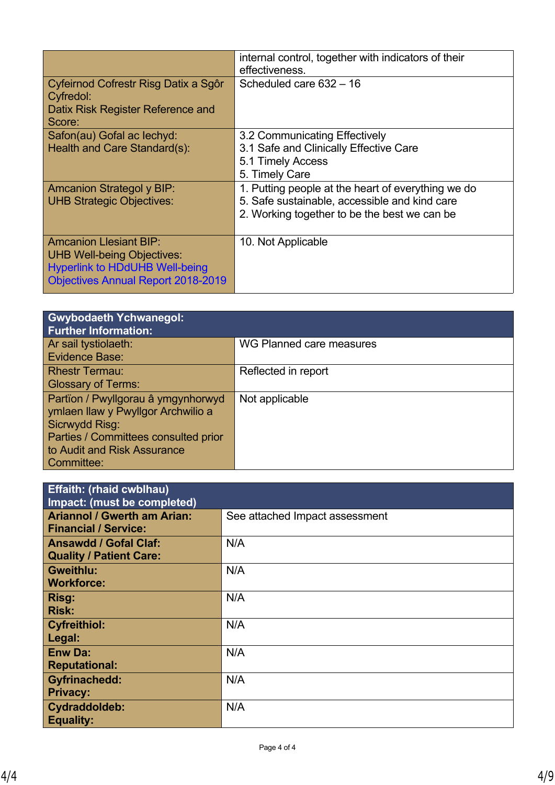| internal control, together with indicators of their<br>effectiveness. |
|-----------------------------------------------------------------------|
| Scheduled care 632 - 16                                               |
|                                                                       |
| 3.2 Communicating Effectively                                         |
| 3.1 Safe and Clinically Effective Care                                |
| 5.1 Timely Access                                                     |
| 5. Timely Care                                                        |
| 1. Putting people at the heart of everything we do                    |
| 5. Safe sustainable, accessible and kind care                         |
| 2. Working together to be the best we can be                          |
|                                                                       |
| 10. Not Applicable                                                    |
|                                                                       |
|                                                                       |
|                                                                       |
|                                                                       |

| <b>Gwybodaeth Ychwanegol:</b><br><b>Further Information:</b> |                          |
|--------------------------------------------------------------|--------------------------|
| Ar sail tystiolaeth:                                         | WG Planned care measures |
| <b>Evidence Base:</b>                                        |                          |
| <b>Rhestr Termau:</b>                                        | Reflected in report      |
| <b>Glossary of Terms:</b>                                    |                          |
| Partïon / Pwyllgorau â ymgynhorwyd                           | Not applicable           |
| ymlaen llaw y Pwyllgor Archwilio a                           |                          |
| Sicrwydd Risg:                                               |                          |
| Parties / Committees consulted prior                         |                          |
| to Audit and Risk Assurance                                  |                          |
| Committee:                                                   |                          |

| <b>Effaith: (rhaid cwblhau)</b><br>Impact: (must be completed)    |                                |
|-------------------------------------------------------------------|--------------------------------|
| <b>Ariannol / Gwerth am Arian:</b><br><b>Financial / Service:</b> | See attached Impact assessment |
| <b>Ansawdd / Gofal Claf:</b>                                      | N/A                            |
| <b>Quality / Patient Care:</b><br><b>Gweithlu:</b>                | N/A                            |
| <b>Workforce:</b><br>Risg:                                        | N/A                            |
| <b>Risk:</b><br><b>Cyfreithiol:</b>                               | N/A                            |
| Legal:<br><b>Enw Da:</b>                                          | N/A                            |
| <b>Reputational:</b>                                              | N/A                            |
| <b>Gyfrinachedd:</b><br><b>Privacy:</b>                           |                                |
| Cydraddoldeb:<br><b>Equality:</b>                                 | N/A                            |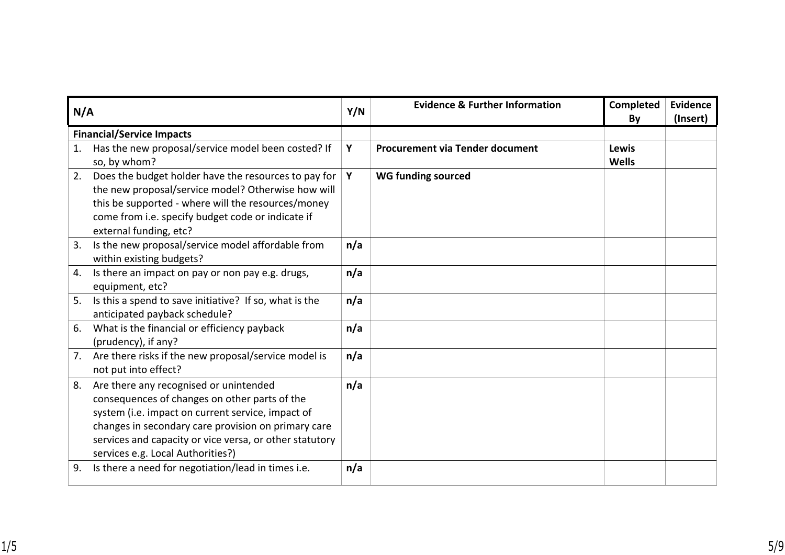| N/A |                                                                                                                                                                                                                                                                                                     | Y/N | <b>Evidence &amp; Further Information</b> | <b>Completed</b><br>By       | <b>Evidence</b><br>(Insert) |
|-----|-----------------------------------------------------------------------------------------------------------------------------------------------------------------------------------------------------------------------------------------------------------------------------------------------------|-----|-------------------------------------------|------------------------------|-----------------------------|
|     | <b>Financial/Service Impacts</b>                                                                                                                                                                                                                                                                    |     |                                           |                              |                             |
| 1.  | Has the new proposal/service model been costed? If<br>so, by whom?                                                                                                                                                                                                                                  | Y   | <b>Procurement via Tender document</b>    | <b>Lewis</b><br><b>Wells</b> |                             |
| 2.  | Does the budget holder have the resources to pay for<br>the new proposal/service model? Otherwise how will<br>this be supported - where will the resources/money<br>come from i.e. specify budget code or indicate if<br>external funding, etc?                                                     | Y   | <b>WG funding sourced</b>                 |                              |                             |
| 3.  | Is the new proposal/service model affordable from<br>within existing budgets?                                                                                                                                                                                                                       | n/a |                                           |                              |                             |
| 4.  | Is there an impact on pay or non pay e.g. drugs,<br>equipment, etc?                                                                                                                                                                                                                                 | n/a |                                           |                              |                             |
| 5.  | Is this a spend to save initiative? If so, what is the<br>anticipated payback schedule?                                                                                                                                                                                                             | n/a |                                           |                              |                             |
| 6.  | What is the financial or efficiency payback<br>(prudency), if any?                                                                                                                                                                                                                                  | n/a |                                           |                              |                             |
| 7.  | Are there risks if the new proposal/service model is<br>not put into effect?                                                                                                                                                                                                                        | n/a |                                           |                              |                             |
| 8.  | Are there any recognised or unintended<br>consequences of changes on other parts of the<br>system (i.e. impact on current service, impact of<br>changes in secondary care provision on primary care<br>services and capacity or vice versa, or other statutory<br>services e.g. Local Authorities?) | n/a |                                           |                              |                             |
| 9.  | Is there a need for negotiation/lead in times i.e.                                                                                                                                                                                                                                                  | n/a |                                           |                              |                             |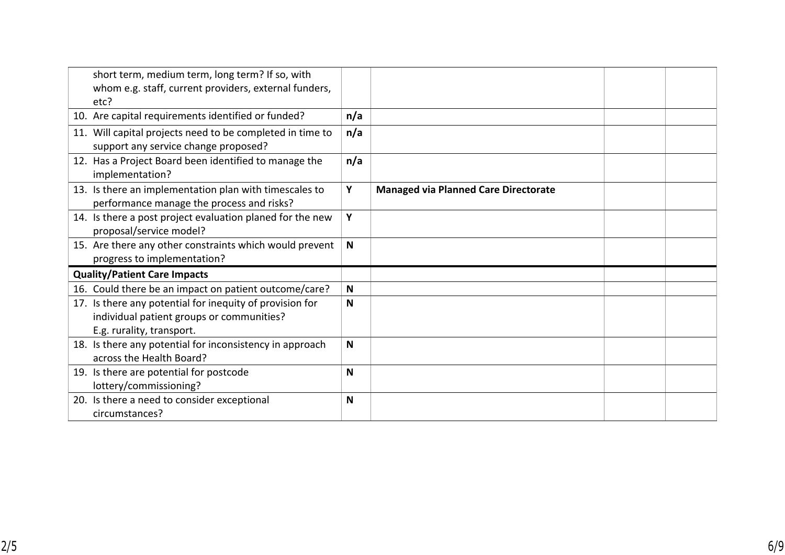| short term, medium term, long term? If so, with<br>whom e.g. staff, current providers, external funders,<br>etc?                   |     |                                             |  |
|------------------------------------------------------------------------------------------------------------------------------------|-----|---------------------------------------------|--|
| 10. Are capital requirements identified or funded?                                                                                 | n/a |                                             |  |
| 11. Will capital projects need to be completed in time to<br>support any service change proposed?                                  | n/a |                                             |  |
| 12. Has a Project Board been identified to manage the<br>implementation?                                                           | n/a |                                             |  |
| 13. Is there an implementation plan with timescales to<br>performance manage the process and risks?                                | Y   | <b>Managed via Planned Care Directorate</b> |  |
| 14. Is there a post project evaluation planed for the new<br>proposal/service model?                                               | Y   |                                             |  |
| 15. Are there any other constraints which would prevent<br>progress to implementation?                                             | N   |                                             |  |
| <b>Quality/Patient Care Impacts</b>                                                                                                |     |                                             |  |
| 16. Could there be an impact on patient outcome/care?                                                                              | N   |                                             |  |
| 17. Is there any potential for inequity of provision for<br>individual patient groups or communities?<br>E.g. rurality, transport. | N   |                                             |  |
| 18. Is there any potential for inconsistency in approach<br>across the Health Board?                                               | N   |                                             |  |
| 19. Is there are potential for postcode<br>lottery/commissioning?                                                                  | N   |                                             |  |
| 20. Is there a need to consider exceptional<br>circumstances?                                                                      | N   |                                             |  |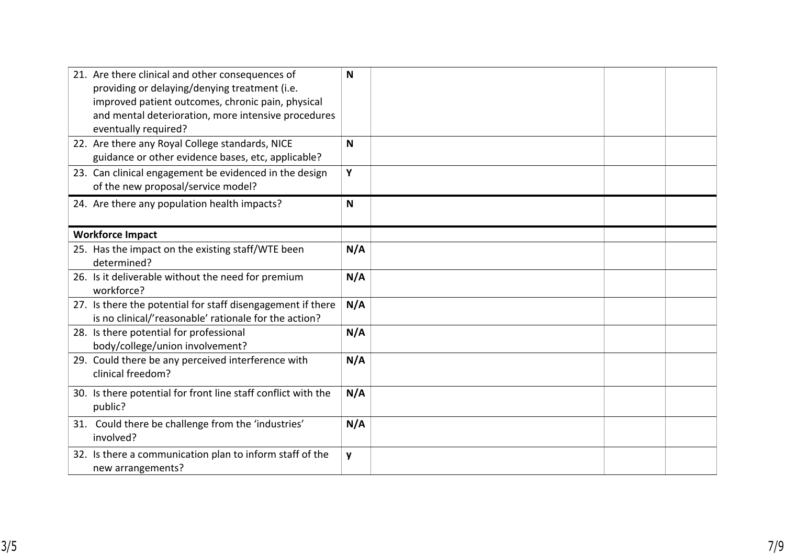| 21. Are there clinical and other consequences of<br>providing or delaying/denying treatment (i.e.<br>improved patient outcomes, chronic pain, physical<br>and mental deterioration, more intensive procedures<br>eventually required? | N   |  |
|---------------------------------------------------------------------------------------------------------------------------------------------------------------------------------------------------------------------------------------|-----|--|
| 22. Are there any Royal College standards, NICE<br>guidance or other evidence bases, etc, applicable?                                                                                                                                 | N   |  |
| 23. Can clinical engagement be evidenced in the design<br>of the new proposal/service model?                                                                                                                                          | Y   |  |
| 24. Are there any population health impacts?                                                                                                                                                                                          | N   |  |
| <b>Workforce Impact</b>                                                                                                                                                                                                               |     |  |
| 25. Has the impact on the existing staff/WTE been<br>determined?                                                                                                                                                                      | N/A |  |
| 26. Is it deliverable without the need for premium<br>workforce?                                                                                                                                                                      | N/A |  |
| 27. Is there the potential for staff disengagement if there<br>is no clinical/'reasonable' rationale for the action?                                                                                                                  | N/A |  |
| 28. Is there potential for professional<br>body/college/union involvement?                                                                                                                                                            | N/A |  |
| 29. Could there be any perceived interference with<br>clinical freedom?                                                                                                                                                               | N/A |  |
| 30. Is there potential for front line staff conflict with the<br>public?                                                                                                                                                              | N/A |  |
| 31. Could there be challenge from the 'industries'<br>involved?                                                                                                                                                                       | N/A |  |
| 32. Is there a communication plan to inform staff of the<br>new arrangements?                                                                                                                                                         | y   |  |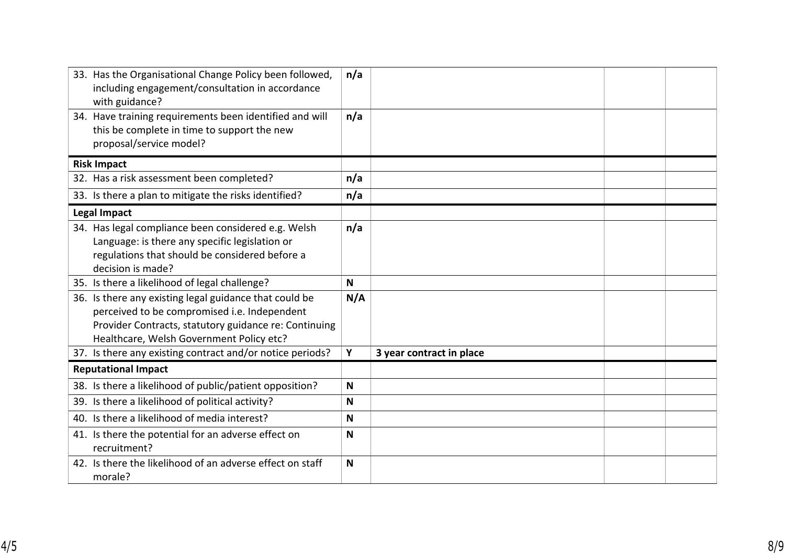| 33. Has the Organisational Change Policy been followed,<br>including engagement/consultation in accordance<br>with guidance?                                                                                | n/a |                          |  |
|-------------------------------------------------------------------------------------------------------------------------------------------------------------------------------------------------------------|-----|--------------------------|--|
| 34. Have training requirements been identified and will<br>this be complete in time to support the new<br>proposal/service model?                                                                           | n/a |                          |  |
| <b>Risk Impact</b>                                                                                                                                                                                          |     |                          |  |
| 32. Has a risk assessment been completed?                                                                                                                                                                   | n/a |                          |  |
| 33. Is there a plan to mitigate the risks identified?                                                                                                                                                       | n/a |                          |  |
| <b>Legal Impact</b>                                                                                                                                                                                         |     |                          |  |
| 34. Has legal compliance been considered e.g. Welsh<br>Language: is there any specific legislation or<br>regulations that should be considered before a<br>decision is made?                                | n/a |                          |  |
| 35. Is there a likelihood of legal challenge?                                                                                                                                                               | N   |                          |  |
| 36. Is there any existing legal guidance that could be<br>perceived to be compromised i.e. Independent<br>Provider Contracts, statutory guidance re: Continuing<br>Healthcare, Welsh Government Policy etc? | N/A |                          |  |
| 37. Is there any existing contract and/or notice periods?                                                                                                                                                   | Y   | 3 year contract in place |  |
| <b>Reputational Impact</b>                                                                                                                                                                                  |     |                          |  |
| 38. Is there a likelihood of public/patient opposition?                                                                                                                                                     | N   |                          |  |
| 39. Is there a likelihood of political activity?                                                                                                                                                            | N   |                          |  |
| 40. Is there a likelihood of media interest?                                                                                                                                                                | N   |                          |  |
| 41. Is there the potential for an adverse effect on<br>recruitment?                                                                                                                                         | N   |                          |  |
| 42. Is there the likelihood of an adverse effect on staff<br>morale?                                                                                                                                        | N   |                          |  |